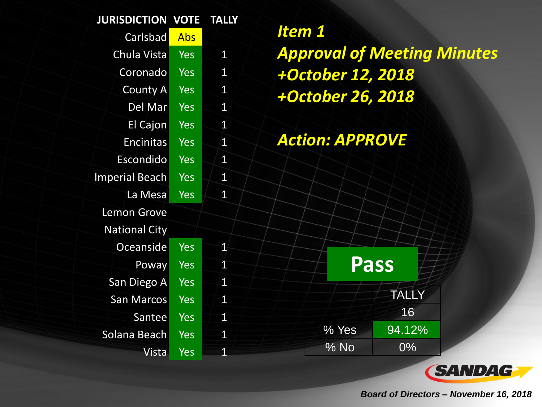| <b>JURISDICTION</b>   | <b>VOTE</b> | <b>TALLY</b>   |
|-----------------------|-------------|----------------|
| Carlsbad              | Abs         |                |
| Chula Vista           | Yes         | $\mathbf{1}$   |
| Coronado              | Yes         | $\mathbf 1$    |
| County A              | <b>Yes</b>  | $\overline{1}$ |
| Del Mar               | Yes         | $\overline{1}$ |
| <b>El Cajon</b>       | <b>Yes</b>  | 1              |
| <b>Encinitas</b>      | <b>Yes</b>  | 1              |
| Escondido             | Yes         | $\mathbf{1}$   |
| <b>Imperial Beach</b> | <b>Yes</b>  | $\mathbf{1}$   |
| La Mesa               | Yes         | 1              |
| <b>Lemon Grove</b>    |             |                |
| <b>National City</b>  |             |                |
| <b>Oceanside</b>      | Yes         | $\overline{1}$ |
| Poway                 | Yes         | 1              |
| San Diego A           | Yes         | $\overline{1}$ |
| <b>San Marcos</b>     | <b>Yes</b>  | $\overline{1}$ |
| Santee                | Yes         | $\mathbf{1}$   |
| Solana Beach          | Yes         | $\mathbf{1}$   |
| Vista                 | Yes         | $\overline{1}$ |

*Item 1 Approval of Meeting Minutes +October 12, 2018 +October 26, 2018*

*Action: APPROVE*





*Board of Directors – November 16, 2018*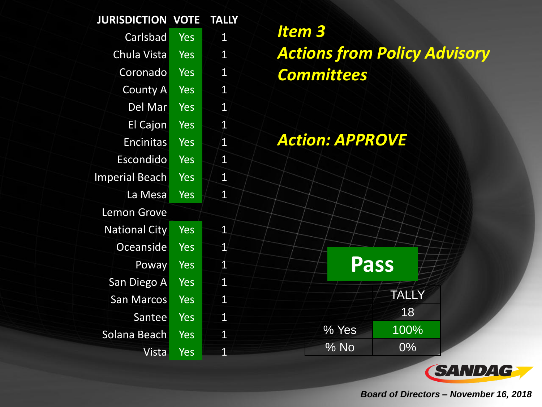| <b>JURISDICTION</b>   | <b>VOTE</b> | <b>TALLY</b>   |
|-----------------------|-------------|----------------|
| Carlsbad              | Yes         | $\mathbf 1$    |
| Chula Vista           | Yes         | $\overline{1}$ |
| Coronado              | Yes         | $\overline{1}$ |
| <b>County A</b>       | Yes         | $\mathbf{1}$   |
| Del Mar               | Yes         | $\mathbf{1}$   |
| <b>El Cajon</b>       | Yes         | 1              |
| <b>Encinitas</b>      | Yes         | 1              |
| Escondido             | Yes         | $\overline{1}$ |
| <b>Imperial Beach</b> | Yes         | $\overline{1}$ |
| La Mesa               | Yes         | $\mathbf{1}$   |
| <b>Lemon Grove</b>    |             |                |
| <b>National City</b>  | Yes         | 1              |
| Oceanside             | Yes         | $\overline{1}$ |
| Poway                 | Yes         | $\overline{1}$ |
| San Diego A           | <b>Yes</b>  | $\overline{1}$ |
| <b>San Marcos</b>     | Yes         | 1              |
| Santee                | Yes         | $\overline{1}$ |
| Solana Beach          | Yes         | $\overline{1}$ |
| Vista                 | Yes         | $\overline{1}$ |

*Item 3 Actions from Policy Advisory Committees*

*Action: APPROVE*





*Board of Directors – November 16, 2018*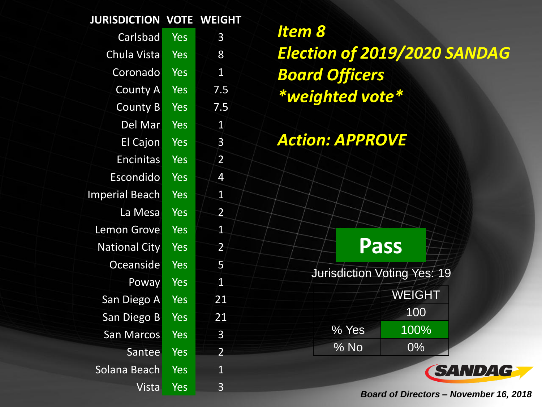## **JURISDICTION VOTE WEIGHT**

| Carlsbad              | Yes        | 3              |
|-----------------------|------------|----------------|
| <b>Chula Vista</b>    | Yes        | $\overline{8}$ |
| Coronado              | Yes        | $\blacksquare$ |
| County A              | <b>Yes</b> | 7.5            |
| <b>County B</b>       | Yes        | 7.5            |
| Del Mar               | Yes        | $\overline{1}$ |
| <b>El Cajon</b>       | Yes        | 3              |
| <b>Encinitas</b>      | Yes        | $\overline{2}$ |
| Escondido             | <b>Yes</b> | 4              |
| <b>Imperial Beach</b> | Yes        | $\mathbf{1}$   |
| La Mesa               | <b>Yes</b> | $\overline{2}$ |
| <b>Lemon Grove</b>    | Yes        | $\overline{1}$ |
| <b>National City</b>  | Yes        | $\overline{2}$ |
| Oceanside             | Yes        | 5              |
| Poway                 | Yes        | 1              |
| San Diego A           | Yes        | 21             |
| San Diego B           | Yes        | 21             |
| <b>San Marcos</b>     | Yes        | 3              |
| Santee                | Yes        | $\overline{2}$ |
| Solana Beach          | Yes        | $\overline{1}$ |
| Vista                 | Yes        | 3              |

*Item 8 Election of 2019/2020 SANDAG Board Officers \*weighted vote\**

*Action: APPROVE*

**Pass** Jurisdiction Voting Yes: 19

WEIGHT 100 % Yes 100%

% No 0%



*Board of Directors – November 16, 2018*